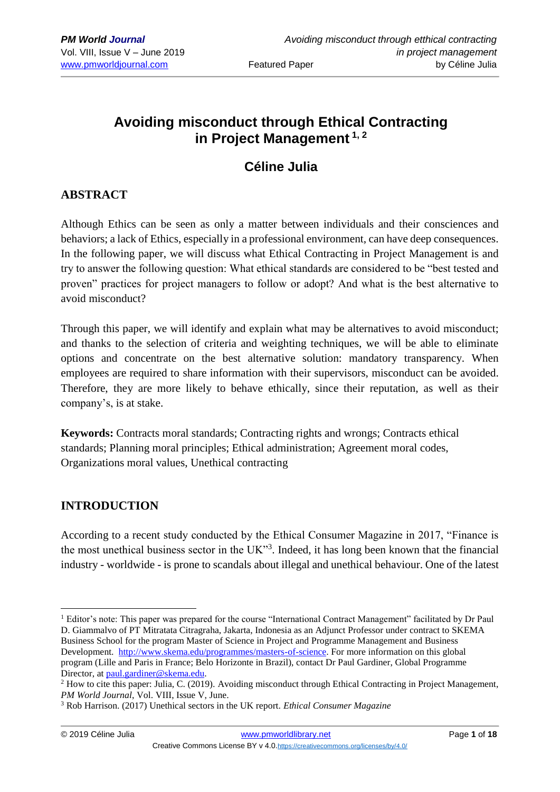# **Avoiding misconduct through Ethical Contracting in Project Management 1, 2**

# **Céline Julia**

## **ABSTRACT**

Although Ethics can be seen as only a matter between individuals and their consciences and behaviors; a lack of Ethics, especially in a professional environment, can have deep consequences. In the following paper, we will discuss what Ethical Contracting in Project Management is and try to answer the following question: What ethical standards are considered to be "best tested and proven" practices for project managers to follow or adopt? And what is the best alternative to avoid misconduct?

Through this paper, we will identify and explain what may be alternatives to avoid misconduct; and thanks to the selection of criteria and weighting techniques, we will be able to eliminate options and concentrate on the best alternative solution: mandatory transparency. When employees are required to share information with their supervisors, misconduct can be avoided. Therefore, they are more likely to behave ethically, since their reputation, as well as their company's, is at stake.

**Keywords:** Contracts moral standards; Contracting rights and wrongs; Contracts ethical standards; Planning moral principles; Ethical administration; Agreement moral codes, Organizations moral values, Unethical contracting

## **INTRODUCTION**

According to a recent study conducted by the Ethical Consumer Magazine in 2017, "Finance is the most unethical business sector in the UK"<sup>3</sup>. Indeed, it has long been known that the financial industry - worldwide - is prone to scandals about illegal and unethical behaviour. One of the latest

<sup>&</sup>lt;sup>1</sup> Editor's note: This paper was prepared for the course "International Contract Management" facilitated by Dr Paul D. Giammalvo of PT Mitratata Citragraha, Jakarta, Indonesia as an Adjunct Professor under contract to SKEMA Business School for the program Master of Science in Project and Programme Management and Business Development. [http://www.skema.edu/programmes/masters-of-science.](http://www.skema.edu/programmes/masters-of-science) For more information on this global program (Lille and Paris in France; Belo Horizonte in Brazil), contact Dr Paul Gardiner, Global Programme Director, at [paul.gardiner@skema.edu.](mailto:paul.gardiner@skema.edu)

<sup>&</sup>lt;sup>2</sup> How to cite this paper: Julia, C. (2019). Avoiding misconduct through Ethical Contracting in Project Management, *PM World Journal*, Vol. VIII, Issue V, June.

<sup>3</sup> Rob Harrison. (2017) Unethical sectors in the UK report. *Ethical Consumer Magazine*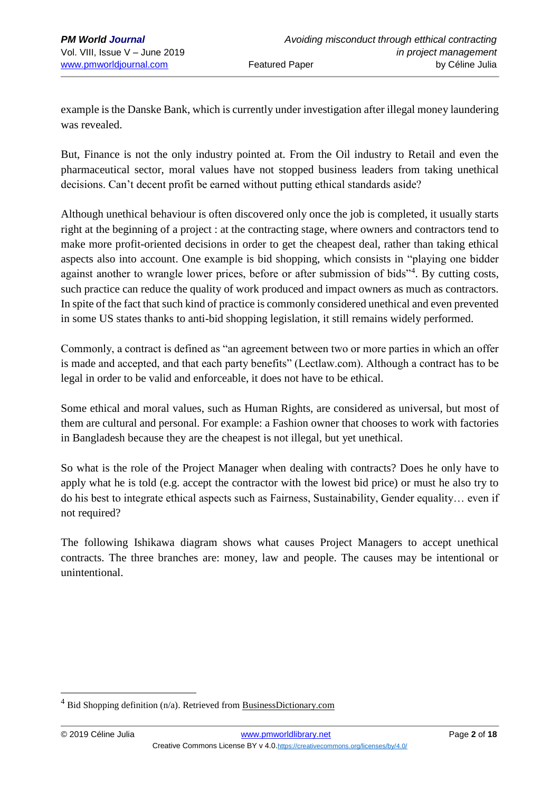example is the Danske Bank, which is currently under investigation after illegal money laundering was revealed.

But, Finance is not the only industry pointed at. From the Oil industry to Retail and even the pharmaceutical sector, moral values have not stopped business leaders from taking unethical decisions. Can't decent profit be earned without putting ethical standards aside?

Although unethical behaviour is often discovered only once the job is completed, it usually starts right at the beginning of a project : at the contracting stage, where owners and contractors tend to make more profit-oriented decisions in order to get the cheapest deal, rather than taking ethical aspects also into account. One example is bid shopping, which consists in "playing one bidder against another to wrangle lower prices, before or after submission of bids"<sup>4</sup>. By cutting costs, such practice can reduce the quality of work produced and impact owners as much as contractors. In spite of the fact that such kind of practice is commonly considered unethical and even prevented in some US states thanks to anti-bid shopping legislation, it still remains widely performed.

Commonly, a contract is defined as "an agreement between two or more parties in which an offer is made and accepted, and that each party benefits" (Lectlaw.com). Although a contract has to be legal in order to be valid and enforceable, it does not have to be ethical.

Some ethical and moral values, such as Human Rights, are considered as universal, but most of them are cultural and personal. For example: a Fashion owner that chooses to work with factories in Bangladesh because they are the cheapest is not illegal, but yet unethical.

So what is the role of the Project Manager when dealing with contracts? Does he only have to apply what he is told (e.g. accept the contractor with the lowest bid price) or must he also try to do his best to integrate ethical aspects such as Fairness, Sustainability, Gender equality… even if not required?

The following Ishikawa diagram shows what causes Project Managers to accept unethical contracts. The three branches are: money, law and people. The causes may be intentional or unintentional.

Bid Shopping definition (n/a). Retrieved from BusinessDictionary.com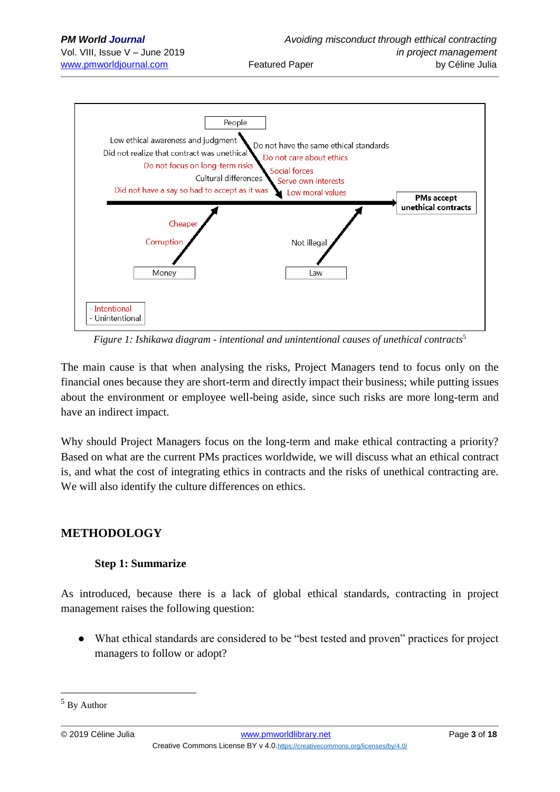

*Figure 1: Ishikawa diagram - intentional and unintentional causes of unethical contracts*<sup>5</sup>

The main cause is that when analysing the risks, Project Managers tend to focus only on the financial ones because they are short-term and directly impact their business; while putting issues about the environment or employee well-being aside, since such risks are more long-term and have an indirect impact.

Why should Project Managers focus on the long-term and make ethical contracting a priority? Based on what are the current PMs practices worldwide, we will discuss what an ethical contract is, and what the cost of integrating ethics in contracts and the risks of unethical contracting are. We will also identify the culture differences on ethics.

## **METHODOLOGY**

## **Step 1: Summarize**

As introduced, because there is a lack of global ethical standards, contracting in project management raises the following question:

What ethical standards are considered to be "best tested and proven" practices for project managers to follow or adopt?

<sup>5</sup> By Author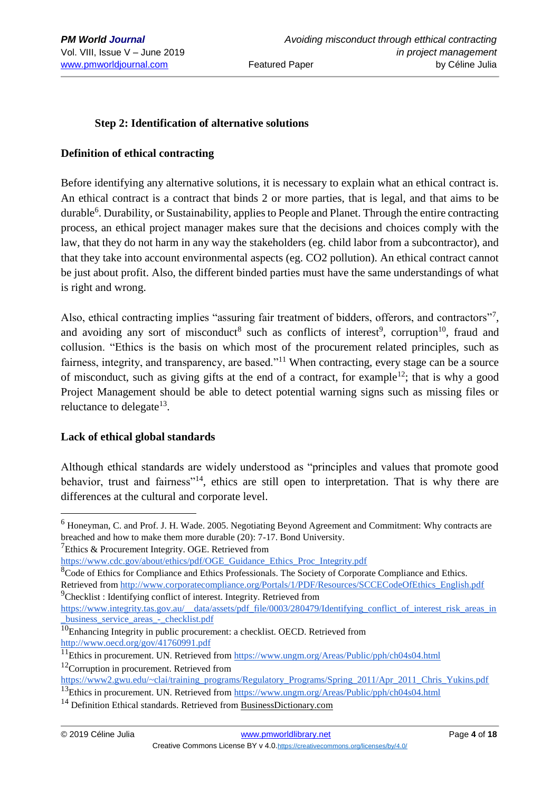### **Step 2: Identification of alternative solutions**

#### **Definition of ethical contracting**

Before identifying any alternative solutions, it is necessary to explain what an ethical contract is. An ethical contract is a contract that binds 2 or more parties, that is legal, and that aims to be durable<sup>6</sup>. Durability, or Sustainability, applies to People and Planet. Through the entire contracting process, an ethical project manager makes sure that the decisions and choices comply with the law, that they do not harm in any way the stakeholders (eg. child labor from a subcontractor), and that they take into account environmental aspects (eg. CO2 pollution). An ethical contract cannot be just about profit. Also, the different binded parties must have the same understandings of what is right and wrong.

Also, ethical contracting implies "assuring fair treatment of bidders, offerors, and contractors"7, and avoiding any sort of misconduct<sup>8</sup> such as conflicts of interest<sup>9</sup>, corruption<sup>10</sup>, fraud and collusion. "Ethics is the basis on which most of the procurement related principles, such as fairness, integrity, and transparency, are based."<sup>11</sup> When contracting, every stage can be a source of misconduct, such as giving gifts at the end of a contract, for example<sup>12</sup>; that is why a good Project Management should be able to detect potential warning signs such as missing files or reluctance to delegate<sup>13</sup>.

### **Lack of ethical global standards**

Although ethical standards are widely understood as "principles and values that promote good behavior, trust and fairness<sup>"14</sup>, ethics are still open to interpretation. That is why there are differences at the cultural and corporate level.

 $7$ Ethics & Procurement Integrity. OGE. Retrieved from

<sup>&</sup>lt;sup>6</sup> Honeyman, C. and Prof. J. H. Wade. 2005. Negotiating Beyond Agreement and Commitment: Why contracts are breached and how to make them more durable (20): 7-17. Bond University.

[https://www.cdc.gov/about/ethics/pdf/OGE\\_Guidance\\_Ethics\\_Proc\\_Integrity.pdf](https://www.cdc.gov/about/ethics/pdf/OGE_Guidance_Ethics_Proc_Integrity.pdf)

 ${}^{8}$ Code of Ethics for Compliance and Ethics Professionals. The Society of Corporate Compliance and Ethics. Retrieved from [http://www.corporatecompliance.org/Portals/1/PDF/Resources/SCCECodeOfEthics\\_English.pdf](http://www.corporatecompliance.org/Portals/1/PDF/Resources/SCCECodeOfEthics_English.pdf)

<sup>&</sup>lt;sup>9</sup>Checklist : Identifying conflict of interest. Integrity. Retrieved from

[https://www.integrity.tas.gov.au/\\_\\_data/assets/pdf\\_file/0003/280479/Identifying\\_conflict\\_of\\_interest\\_risk\\_areas\\_in](https://www.integrity.tas.gov.au/__data/assets/pdf_file/0003/280479/Identifying_conflict_of_interest_risk_areas_in_business_service_areas_-_checklist.pdf) [\\_business\\_service\\_areas\\_-\\_checklist.pdf](https://www.integrity.tas.gov.au/__data/assets/pdf_file/0003/280479/Identifying_conflict_of_interest_risk_areas_in_business_service_areas_-_checklist.pdf)

 $10$ Enhancing Integrity in public procurement: a checklist. OECD. Retrieved from <http://www.oecd.org/gov/41760991.pdf>

<sup>&</sup>lt;sup>11</sup>Ethics in procurement. UN. Retrieved from<https://www.ungm.org/Areas/Public/pph/ch04s04.html>  $12$ Corruption in procurement. Retrieved from

[https://www2.gwu.edu/~clai/training\\_programs/Regulatory\\_Programs/Spring\\_2011/Apr\\_2011\\_Chris\\_Yukins.pdf](https://www2.gwu.edu/~clai/training_programs/Regulatory_Programs/Spring_2011/Apr_2011_Chris_Yukins.pdf)

<sup>&</sup>lt;sup>13</sup>Ethics in procurement. UN. Retrieved from<https://www.ungm.org/Areas/Public/pph/ch04s04.html>

<sup>14</sup> Definition Ethical standards. Retrieved from BusinessDictionary.com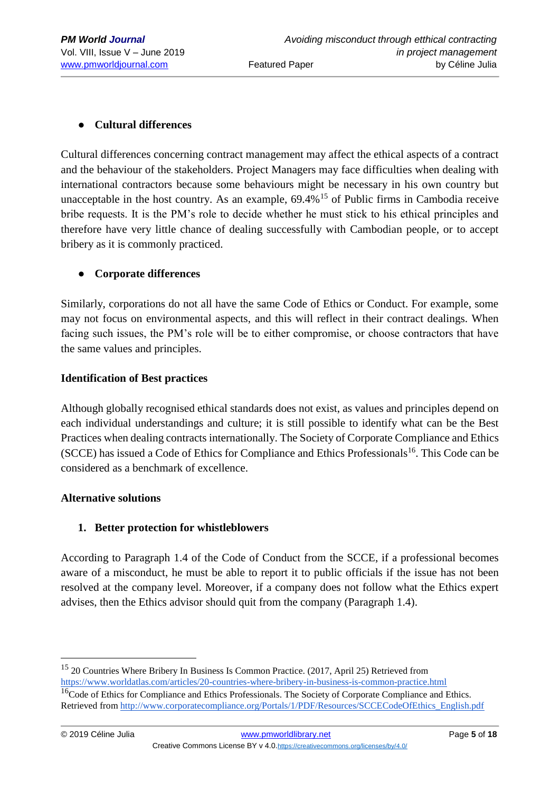## ● **Cultural differences**

Cultural differences concerning contract management may affect the ethical aspects of a contract and the behaviour of the stakeholders. Project Managers may face difficulties when dealing with international contractors because some behaviours might be necessary in his own country but unacceptable in the host country. As an example,  $69.4\%$ <sup>15</sup> of Public firms in Cambodia receive bribe requests. It is the PM's role to decide whether he must stick to his ethical principles and therefore have very little chance of dealing successfully with Cambodian people, or to accept bribery as it is commonly practiced.

## ● **Corporate differences**

Similarly, corporations do not all have the same Code of Ethics or Conduct. For example, some may not focus on environmental aspects, and this will reflect in their contract dealings. When facing such issues, the PM's role will be to either compromise, or choose contractors that have the same values and principles.

### **Identification of Best practices**

Although globally recognised ethical standards does not exist, as values and principles depend on each individual understandings and culture; it is still possible to identify what can be the Best Practices when dealing contracts internationally. The Society of Corporate Compliance and Ethics (SCCE) has issued a Code of Ethics for Compliance and Ethics Professionals<sup>16</sup>. This Code can be considered as a benchmark of excellence.

### **Alternative solutions**

## **1. Better protection for whistleblowers**

According to Paragraph 1.4 of the Code of Conduct from the SCCE, if a professional becomes aware of a misconduct, he must be able to report it to public officials if the issue has not been resolved at the company level. Moreover, if a company does not follow what the Ethics expert advises, then the Ethics advisor should quit from the company (Paragraph 1.4).

<sup>&</sup>lt;sup>15</sup> 20 Countries Where Bribery In Business Is Common Practice. (2017, April 25) Retrieved from <https://www.worldatlas.com/articles/20-countries-where-bribery-in-business-is-common-practice.html>

<sup>&</sup>lt;sup>16</sup>Code of Ethics for Compliance and Ethics Professionals. The Society of Corporate Compliance and Ethics. Retrieved from [http://www.corporatecompliance.org/Portals/1/PDF/Resources/SCCECodeOfEthics\\_English.pdf](http://www.corporatecompliance.org/Portals/1/PDF/Resources/SCCECodeOfEthics_English.pdf)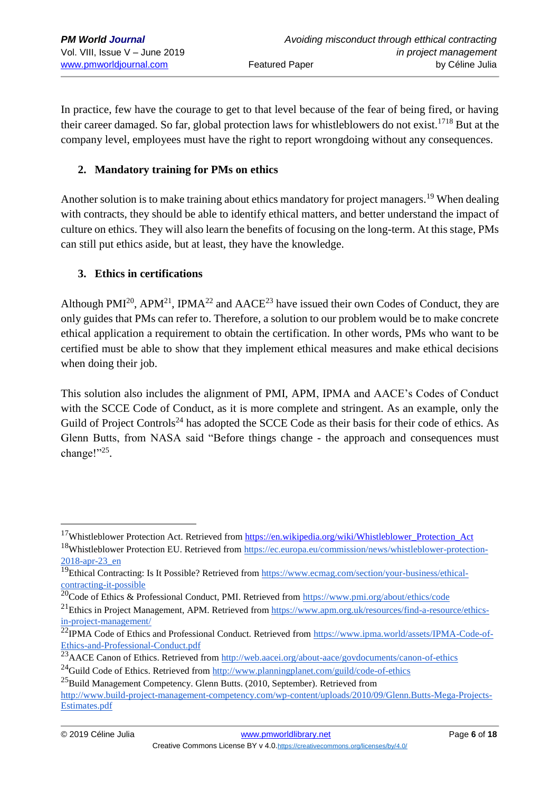In practice, few have the courage to get to that level because of the fear of being fired, or having their career damaged. So far, global protection laws for whistleblowers do not exist.<sup>1718</sup> But at the company level, employees must have the right to report wrongdoing without any consequences.

## **2. Mandatory training for PMs on ethics**

Another solution is to make training about ethics mandatory for project managers.<sup>19</sup> When dealing with contracts, they should be able to identify ethical matters, and better understand the impact of culture on ethics. They will also learn the benefits of focusing on the long-term. At this stage, PMs can still put ethics aside, but at least, they have the knowledge.

## **3. Ethics in certifications**

Although PMI<sup>20</sup>, APM<sup>21</sup>, IPMA<sup>22</sup> and AACE<sup>23</sup> have issued their own Codes of Conduct, they are only guides that PMs can refer to. Therefore, a solution to our problem would be to make concrete ethical application a requirement to obtain the certification. In other words, PMs who want to be certified must be able to show that they implement ethical measures and make ethical decisions when doing their job.

This solution also includes the alignment of PMI, APM, IPMA and AACE's Codes of Conduct with the SCCE Code of Conduct, as it is more complete and stringent. As an example, only the Guild of Project Controls<sup>24</sup> has adopted the SCCE Code as their basis for their code of ethics. As Glenn Butts, from NASA said "Before things change - the approach and consequences must change!"25.

<sup>&</sup>lt;sup>17</sup>Whistleblower Protection Act. Retrieved from [https://en.wikipedia.org/wiki/Whistleblower\\_Protection\\_Act](https://en.wikipedia.org/wiki/Whistleblower_Protection_Act)

<sup>&</sup>lt;sup>18</sup>Whistleblower Protection EU. Retrieved from [https://ec.europa.eu/commission/news/whistleblower-protection-](https://ec.europa.eu/commission/news/whistleblower-protection-2018-apr-23_en)[2018-apr-23\\_en](https://ec.europa.eu/commission/news/whistleblower-protection-2018-apr-23_en)

 $19$ Ethical Contracting: Is It Possible? Retrieved from [https://www.ecmag.com/section/your-business/ethical](https://www.ecmag.com/section/your-business/ethical-contracting-it-possible)[contracting-it-possible](https://www.ecmag.com/section/your-business/ethical-contracting-it-possible)

<sup>&</sup>lt;sup>20</sup>Code of Ethics & Professional Conduct, PMI. Retrieved from<https://www.pmi.org/about/ethics/code>

<sup>&</sup>lt;sup>21</sup>Ethics in Project Management, APM. Retrieved fro[m https://www.apm.org.uk/resources/find-a-resource/ethics](https://www.apm.org.uk/resources/find-a-resource/ethics-in-project-management/)[in-project-management/](https://www.apm.org.uk/resources/find-a-resource/ethics-in-project-management/)

<sup>&</sup>lt;sup>22</sup>IPMA Code of Ethics and Professional Conduct. Retrieved from [https://www.ipma.world/assets/IPMA-Code-of-](https://www.ipma.world/assets/IPMA-Code-of-Ethics-and-Professional-Conduct.pdf)[Ethics-and-Professional-Conduct.pdf](https://www.ipma.world/assets/IPMA-Code-of-Ethics-and-Professional-Conduct.pdf)

<sup>&</sup>lt;sup>23</sup>AACE Canon of Ethics. Retrieved from<http://web.aacei.org/about-aace/govdocuments/canon-of-ethics>

<sup>&</sup>lt;sup>24</sup>Guild Code of Ethics. Retrieved from<http://www.planningplanet.com/guild/code-of-ethics>

 $^{25}$ Build Management Competency. Glenn Butts. (2010, September). Retrieved from

[http://www.build-project-management-competency.com/wp-content/uploads/2010/09/Glenn.Butts-Mega-Projects-](http://www.build-project-management-competency.com/wp-content/uploads/2010/09/Glenn.Butts-Mega-Projects-Estimates.pdf)[Estimates.pdf](http://www.build-project-management-competency.com/wp-content/uploads/2010/09/Glenn.Butts-Mega-Projects-Estimates.pdf)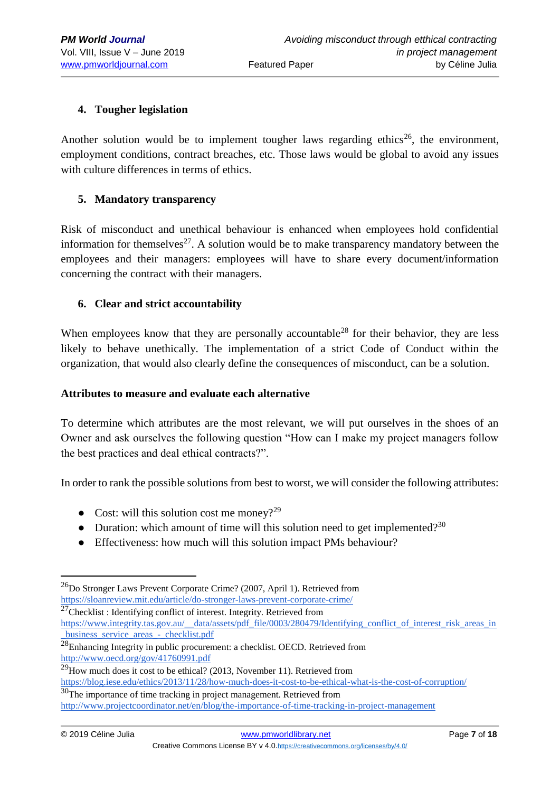### **4. Tougher legislation**

Another solution would be to implement tougher laws regarding ethics<sup>26</sup>, the environment, employment conditions, contract breaches, etc. Those laws would be global to avoid any issues with culture differences in terms of ethics.

### **5. Mandatory transparency**

Risk of misconduct and unethical behaviour is enhanced when employees hold confidential information for themselves<sup>27</sup>. A solution would be to make transparency mandatory between the employees and their managers: employees will have to share every document/information concerning the contract with their managers.

## **6. Clear and strict accountability**

When employees know that they are personally accountable<sup>28</sup> for their behavior, they are less likely to behave unethically. The implementation of a strict Code of Conduct within the organization, that would also clearly define the consequences of misconduct, can be a solution.

### **Attributes to measure and evaluate each alternative**

To determine which attributes are the most relevant, we will put ourselves in the shoes of an Owner and ask ourselves the following question "How can I make my project managers follow the best practices and deal ethical contracts?".

In order to rank the possible solutions from best to worst, we will consider the following attributes:

- Cost: will this solution cost me money?<sup>29</sup>
- Duration: which amount of time will this solution need to get implemented?<sup>30</sup>
- Effectiveness: how much will this solution impact PMs behaviour?

 $^{27}$ Checklist : Identifying conflict of interest. Integrity. Retrieved from

[https://www.integrity.tas.gov.au/\\_\\_data/assets/pdf\\_file/0003/280479/Identifying\\_conflict\\_of\\_interest\\_risk\\_areas\\_in](https://www.integrity.tas.gov.au/__data/assets/pdf_file/0003/280479/Identifying_conflict_of_interest_risk_areas_in_business_service_areas_-_checklist.pdf) [\\_business\\_service\\_areas\\_-\\_checklist.pdf](https://www.integrity.tas.gov.au/__data/assets/pdf_file/0003/280479/Identifying_conflict_of_interest_risk_areas_in_business_service_areas_-_checklist.pdf)

 $^{26}$ Do Stronger Laws Prevent Corporate Crime? (2007, April 1). Retrieved from <https://sloanreview.mit.edu/article/do-stronger-laws-prevent-corporate-crime/>

<sup>&</sup>lt;sup>28</sup>Enhancing Integrity in public procurement: a checklist. OECD. Retrieved from <http://www.oecd.org/gov/41760991.pdf>

 $29$ How much does it cost to be ethical? (2013, November 11). Retrieved from <https://blog.iese.edu/ethics/2013/11/28/how-much-does-it-cost-to-be-ethical-what-is-the-cost-of-corruption/> <sup>30</sup>The importance of time tracking in project management. Retrieved from <http://www.projectcoordinator.net/en/blog/the-importance-of-time-tracking-in-project-management>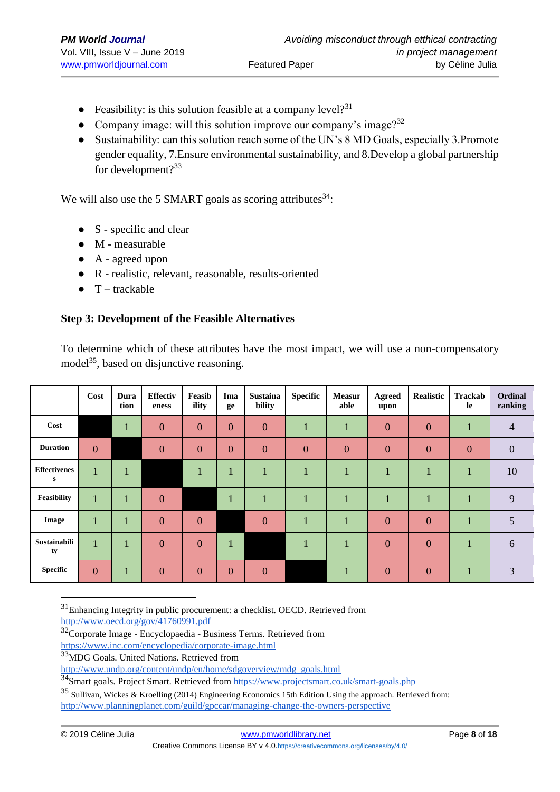- Feasibility: is this solution feasible at a company level?<sup>31</sup>
- Company image: will this solution improve our company's image? $32$
- Sustainability: can this solution reach some of the UN's 8 MD Goals, especially 3.Promote gender equality, 7.Ensure environmental sustainability, and 8.Develop a global partnership for development?<sup>33</sup>

We will also use the 5 SMART goals as scoring attributes  $34$ :

- $\bullet$  S specific and clear
- M measurable
- A agreed upon
- R realistic, relevant, reasonable, results-oriented
- $\bullet$  T trackable

## **Step 3: Development of the Feasible Alternatives**

To determine which of these attributes have the most impact, we will use a non-compensatory model<sup>35</sup>, based on disjunctive reasoning.

|                          | Cost         | Dura<br>tion | <b>Effectiv</b><br>eness | Feasib<br>ility | Ima<br>ge      | <b>Sustaina</b><br>bility | <b>Specific</b> | <b>Measur</b><br>able | Agreed<br>upon   | Realistic        | Trackab<br>le  | Ordinal<br>ranking |
|--------------------------|--------------|--------------|--------------------------|-----------------|----------------|---------------------------|-----------------|-----------------------|------------------|------------------|----------------|--------------------|
| Cost                     |              | л            | $\overline{0}$           | $\overline{0}$  | $\overline{0}$ | $\overline{0}$            | п.              | 1                     | $\boldsymbol{0}$ | $\boldsymbol{0}$ | ш              | $\overline{4}$     |
| <b>Duration</b>          | $\mathbf{0}$ |              | $\overline{0}$           | $\overline{0}$  | $\overline{0}$ | $\overline{0}$            | $\mathbf{0}$    | $\overline{0}$        | $\overline{0}$   | $\overline{0}$   | $\overline{0}$ | $\overline{0}$     |
| <b>Effectivenes</b><br>s | $\mathbf{1}$ |              |                          | л               |                |                           |                 | $\blacksquare$        |                  |                  |                | 10                 |
| Feasibility              | 1            | п            | $\overline{0}$           |                 |                | $\blacksquare$            | п               | $\mathbf{1}$          | $\mathbf{1}$     |                  |                | 9                  |
| Image                    |              | л            | $\overline{0}$           | $\overline{0}$  |                | $\overline{0}$            |                 | 1                     | $\overline{0}$   | $\overline{0}$   |                | 5                  |
| Sustainabili<br>ty       | $\mathbf{1}$ | - 1          | $\overline{0}$           | $\overline{0}$  |                |                           |                 | 1                     | $\overline{0}$   | $\overline{0}$   |                | 6                  |
| <b>Specific</b>          | $\mathbf{0}$ |              | $\overline{0}$           | $\overline{0}$  | $\overline{0}$ | $\mathbf{0}$              |                 | 1                     | $\overline{0}$   | $\overline{0}$   |                | 3                  |

 $31$ Enhancing Integrity in public procurement: a checklist. OECD. Retrieved from

<http://www.oecd.org/gov/41760991.pdf>

<https://www.inc.com/encyclopedia/corporate-image.html>

<sup>34</sup>Smart goals. Project Smart. Retrieved from<https://www.projectsmart.co.uk/smart-goals.php>

<sup>&</sup>lt;sup>32</sup>Corporate Image - Encyclopaedia - Business Terms. Retrieved from

<sup>&</sup>lt;sup>33</sup>MDG Goals. United Nations. Retrieved from

[http://www.undp.org/content/undp/en/home/sdgoverview/mdg\\_goals.html](http://www.undp.org/content/undp/en/home/sdgoverview/mdg_goals.html)

<sup>35</sup> Sullivan, Wickes & Kroelling (2014) Engineering Economics 15th Edition Using the approach. Retrieved from: <http://www.planningplanet.com/guild/gpccar/managing-change-the-owners-perspective>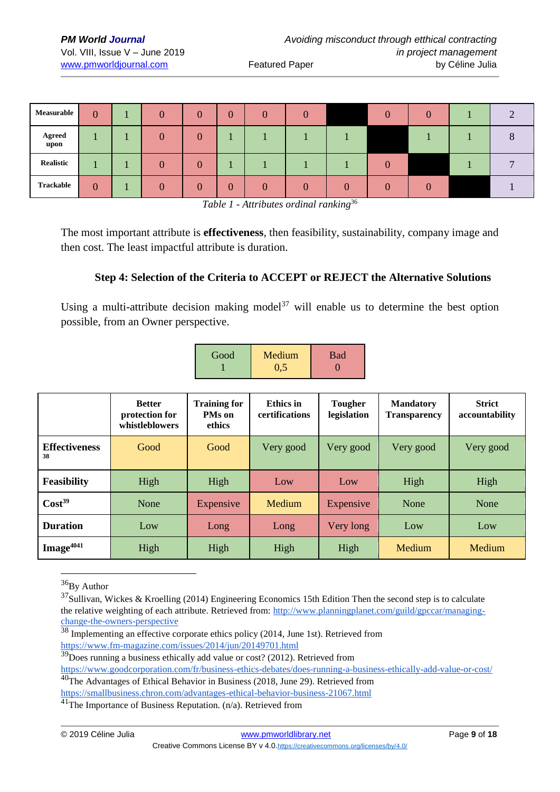| Measurable       | $\bf{0}$ |  | $\theta$         | $\overline{0}$ |          |          |  |  |  |
|------------------|----------|--|------------------|----------------|----------|----------|--|--|--|
| Agreed<br>upon   |          |  | $\left( \right)$ |                |          |          |  |  |  |
| <b>Realistic</b> |          |  | 0                |                |          |          |  |  |  |
| Trackable        | 0        |  | $\Omega$         | $\overline{0}$ | $\Omega$ | $\Omega$ |  |  |  |

*Table 1 - Attributes ordinal ranking*<sup>36</sup>

The most important attribute is **effectiveness**, then feasibility, sustainability, company image and then cost. The least impactful attribute is duration.

#### **Step 4: Selection of the Criteria to ACCEPT or REJECT the Alternative Solutions**

Using a multi-attribute decision making model<sup>37</sup> will enable us to determine the best option possible, from an Owner perspective.

| Good | Medium | <b>Bad</b> |
|------|--------|------------|
|      | 0.5    |            |

|                            | <b>Better</b><br>protection for<br>whistleblowers | <b>Training for</b><br><b>PMs</b> on<br>ethics | Ethics in<br>certifications | <b>Tougher</b><br>legislation | <b>Mandatory</b><br><b>Transparency</b> | <b>Strict</b><br>accountability |
|----------------------------|---------------------------------------------------|------------------------------------------------|-----------------------------|-------------------------------|-----------------------------------------|---------------------------------|
| <b>Effectiveness</b><br>38 | Good                                              | Good                                           | Very good                   | Very good                     | Very good                               | Very good                       |
| <b>Feasibility</b>         | High                                              | High                                           | Low                         | Low                           | High                                    | High                            |
| Cost <sup>39</sup>         | None                                              | Expensive                                      | Medium                      | Expensive                     | None                                    | None                            |
| <b>Duration</b>            | Low                                               | Long                                           | Long                        | Very long                     | Low                                     | Low                             |
| Image <sup>4041</sup>      | High                                              | High                                           | High                        | High                          | Medium                                  | Medium                          |

<sup>&</sup>lt;sup>36</sup>Bv Author

 $37$ Sullivan, Wickes & Kroelling (2014) Engineering Economics 15th Edition Then the second step is to calculate the relative weighting of each attribute. Retrieved from: [http://www.planningplanet.com/guild/gpccar/managing](http://www.planningplanet.com/guild/gpccar/managing-change-the-owners-perspective)[change-the-owners-perspective](http://www.planningplanet.com/guild/gpccar/managing-change-the-owners-perspective)

<sup>&</sup>lt;sup>38</sup> Implementing an effective corporate ethics policy (2014, June 1st). Retrieved from <https://www.fm-magazine.com/issues/2014/jun/20149701.html>

 $39\overline{D}$ oes running a business ethically add value or cost? (2012). Retrieved from

<https://www.goodcorporation.com/fr/business-ethics-debates/does-running-a-business-ethically-add-value-or-cost/>

<sup>&</sup>lt;sup>40</sup>The Advantages of Ethical Behavior in Business (2018, June 29). Retrieved from

<https://smallbusiness.chron.com/advantages-ethical-behavior-business-21067.html>

 $41$ The Importance of Business Reputation. (n/a). Retrieved from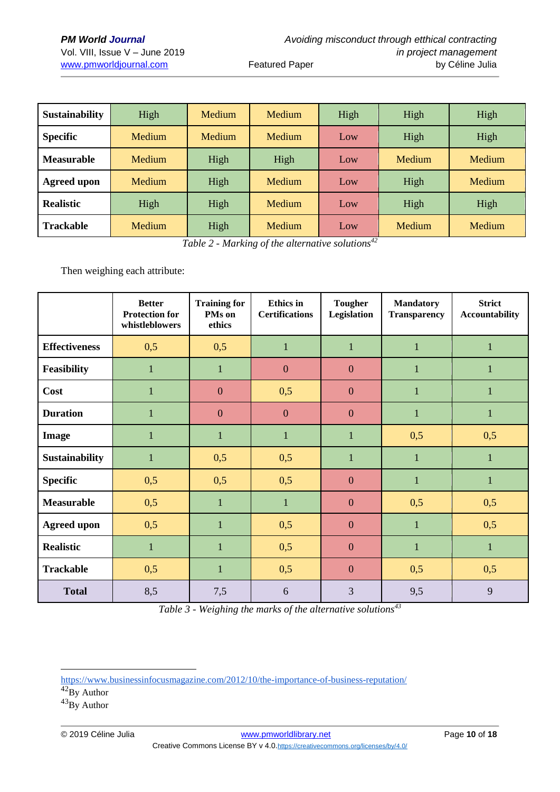| Sustainability     | High          | <b>Medium</b><br>Medium |        | High | High          |               |  |
|--------------------|---------------|-------------------------|--------|------|---------------|---------------|--|
| <b>Specific</b>    | <b>Medium</b> | Medium                  | Medium | Low  | High          | High          |  |
| <b>Measurable</b>  | <b>Medium</b> | High                    | High   | Low  | <b>Medium</b> | <b>Medium</b> |  |
| <b>Agreed upon</b> | <b>Medium</b> | High                    | Medium | Low  | High          | <b>Medium</b> |  |
| <b>Realistic</b>   | High          | High<br>Medium          |        | Low  | High          | High          |  |
| <b>Trackable</b>   | <b>Medium</b> | High                    | Medium | Low  | <b>Medium</b> | Medium        |  |

*Table 2 - Marking of the alternative solutions<sup>42</sup>*

Then weighing each attribute:

|                      | <b>Better</b><br><b>Protection for</b><br>whistleblowers | <b>Training for</b><br>PMs on<br>ethics | <b>Ethics</b> in<br><b>Certifications</b> | <b>Tougher</b><br><b>Legislation</b> | <b>Mandatory</b><br><b>Transparency</b> | <b>Strict</b><br><b>Accountability</b> |
|----------------------|----------------------------------------------------------|-----------------------------------------|-------------------------------------------|--------------------------------------|-----------------------------------------|----------------------------------------|
| <b>Effectiveness</b> | 0,5                                                      | 0,5                                     | $\mathbf{1}$                              | $\mathbf{1}$                         | $\mathbf{1}$                            | $\mathbf{1}$                           |
| <b>Feasibility</b>   | $\mathbf{1}$                                             | $\mathbf{1}$                            | $\mathbf{0}$                              | $\mathbf{0}$                         | $\mathbf{1}$                            | $\mathbf{1}$                           |
| Cost                 | $\mathbf{1}$                                             | $\boldsymbol{0}$                        | 0,5                                       | $\boldsymbol{0}$                     | $\mathbf{1}$                            | $\mathbf{1}$                           |
| <b>Duration</b>      | $\mathbf{1}$                                             | $\overline{0}$                          | $\overline{0}$                            | $\overline{0}$                       | $\mathbf{1}$                            |                                        |
| Image                | $\mathbf{1}$                                             | $\mathbf{1}$                            | $\mathbf{1}$                              | $\mathbf{1}$                         | 0,5                                     | 0,5                                    |
| Sustainability       | $\mathbf{1}$                                             | 0,5                                     | 0,5                                       | $\mathbf{1}$                         | $\mathbf{1}$                            | $\mathbf{1}$                           |
| <b>Specific</b>      | 0,5                                                      | 0,5                                     | 0,5                                       | $\overline{0}$                       | $\mathbf{1}$                            | $\mathbf{1}$                           |
| <b>Measurable</b>    | 0,5                                                      | $\mathbf{1}$                            | $\mathbf{1}$                              | $\mathbf{0}$                         | 0,5                                     | 0,5                                    |
| <b>Agreed upon</b>   | 0,5                                                      | $\mathbf{1}$                            | 0,5                                       | $\overline{0}$                       | $\mathbf{1}$                            | 0,5                                    |
| <b>Realistic</b>     | $\mathbf{1}$                                             | $\mathbf{1}$                            | 0,5                                       | $\overline{0}$                       | $\mathbf{1}$                            | $\mathbf{1}$                           |
| <b>Trackable</b>     | 0,5                                                      | $\mathbf{1}$                            | 0,5                                       | $\overline{0}$                       | 0,5                                     | 0,5                                    |
| <b>Total</b>         | 8,5                                                      | 7,5                                     | 6                                         | 3                                    | 9,5                                     | 9                                      |

*Table 3 - Weighing the marks of the alternative solutions<sup>43</sup>*

<https://www.businessinfocusmagazine.com/2012/10/the-importance-of-business-reputation/>

 $42\overline{\text{By Author}}$ 

 $^{43}$ By Author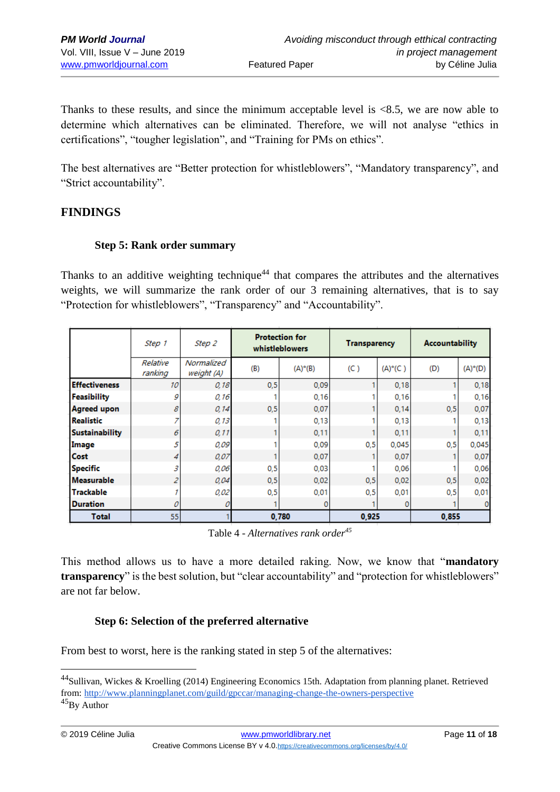Thanks to these results, and since the minimum acceptable level is <8.5, we are now able to determine which alternatives can be eliminated. Therefore, we will not analyse "ethics in certifications", "tougher legislation", and "Training for PMs on ethics".

The best alternatives are "Better protection for whistleblowers", "Mandatory transparency", and "Strict accountability".

## **FINDINGS**

#### **Step 5: Rank order summary**

Thanks to an additive weighting technique<sup>44</sup> that compares the attributes and the alternatives weights, we will summarize the rank order of our 3 remaining alternatives, that is to say "Protection for whistleblowers", "Transparency" and "Accountability".

|                       | Step 1              | Step 2                   | <b>Protection for</b><br>whistleblowers |            | <b>Transparency</b> |            | <b>Accountability</b> |         |
|-----------------------|---------------------|--------------------------|-----------------------------------------|------------|---------------------|------------|-----------------------|---------|
|                       | Relative<br>ranking | Normalized<br>weight (A) | (B)                                     | $(A)^*(B)$ | (C)                 | $(A)^*(C)$ | (D)                   | (A)*(D) |
| <b>Effectiveness</b>  | 10                  | 0.18                     | 0.5                                     | 0.09       |                     | 0,18       |                       | 0,18    |
| Feasibility           | 9                   | 0,16                     |                                         | 0,16       |                     | 0,16       |                       | 0,16    |
| <b>Agreed upon</b>    | 8                   | 0, 14                    | 0.5                                     | 0,07       |                     | 0,14       | 0, 5                  | 0,07    |
| <b>Realistic</b>      |                     | 0,13                     |                                         | 0,13       |                     | 0,13       |                       | 0,13    |
| <b>Sustainability</b> | 6                   | 0, 11                    | ۰                                       | 0,11       |                     | 0,11       |                       | 0,11    |
| Image                 | 5                   | 0.09                     |                                         | 0,09       | 0,5                 | 0.045      | 0.5                   | 0.045   |
| Cost                  | 4                   | 0.07                     | ۰                                       | 0.07       |                     | 0.07       |                       | 0,07    |
| <b>Specific</b>       | 3                   | 0,06                     | 0,5                                     | 0,03       |                     | 0.06       |                       | 0,06    |
| <b>Measurable</b>     | 2                   | 0,04                     | 0.5                                     | 0.02       | 0.5                 | 0.02       | 0.5                   | 0,02    |
| <b>Trackable</b>      |                     | 0,02                     | 0,5                                     | 0.01       | 0,5                 | 0.01       | 0.5                   | 0,01    |
| <b>Duration</b>       | 0                   |                          |                                         | 0          |                     | o          |                       |         |
| Total                 | 55                  |                          |                                         | 0.780      | 0.925               |            | 0.855                 |         |

Table 4 - *Alternatives rank order<sup>45</sup>*

This method allows us to have a more detailed raking. Now, we know that "**mandatory transparency**" is the best solution, but "clear accountability" and "protection for whistleblowers" are not far below.

### **Step 6: Selection of the preferred alternative**

From best to worst, here is the ranking stated in step 5 of the alternatives:

<sup>44</sup>Sullivan, Wickes & Kroelling (2014) Engineering Economics 15th. Adaptation from planning planet. Retrieved from:<http://www.planningplanet.com/guild/gpccar/managing-change-the-owners-perspective>

<sup>&</sup>lt;sup>45</sup>By Author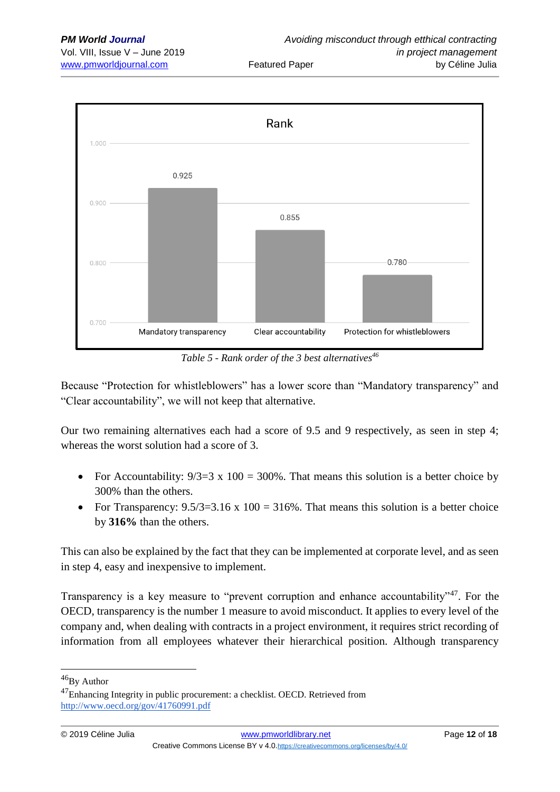

*Table 5 - Rank order of the 3 best alternatives<sup>46</sup>*

Because "Protection for whistleblowers" has a lower score than "Mandatory transparency" and "Clear accountability", we will not keep that alternative.

Our two remaining alternatives each had a score of 9.5 and 9 respectively, as seen in step 4; whereas the worst solution had a score of 3.

- For Accountability:  $9/3=3 \times 100 = 300\%$ . That means this solution is a better choice by 300% than the others.
- For Transparency:  $9.5/3=3.16 \times 100 = 316\%$ . That means this solution is a better choice by **316%** than the others.

This can also be explained by the fact that they can be implemented at corporate level, and as seen in step 4, easy and inexpensive to implement.

Transparency is a key measure to "prevent corruption and enhance accountability"<sup>47</sup>. For the OECD, transparency is the number 1 measure to avoid misconduct. It applies to every level of the company and, when dealing with contracts in a project environment, it requires strict recording of information from all employees whatever their hierarchical position. Although transparency

<sup>&</sup>lt;sup>46</sup>By Author

<sup>&</sup>lt;sup>47</sup>Enhancing Integrity in public procurement: a checklist. OECD. Retrieved from <http://www.oecd.org/gov/41760991.pdf>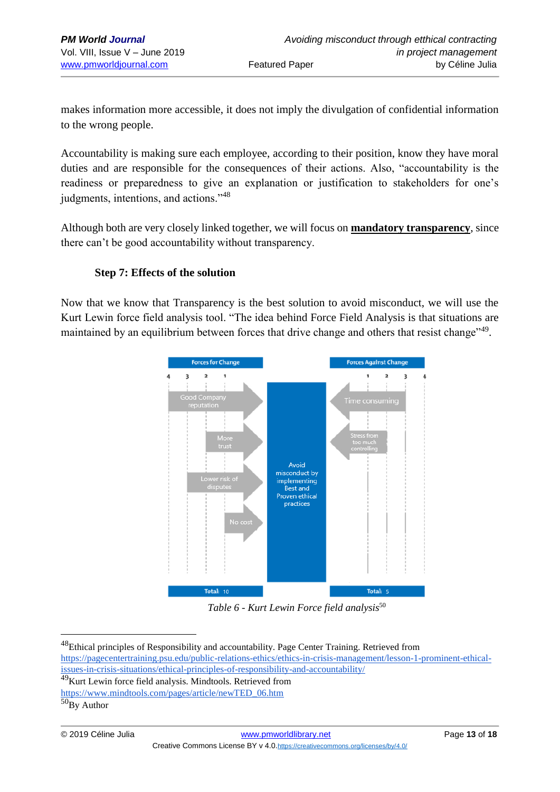makes information more accessible, it does not imply the divulgation of confidential information to the wrong people.

Accountability is making sure each employee, according to their position, know they have moral duties and are responsible for the consequences of their actions. Also, "accountability is the readiness or preparedness to give an explanation or justification to stakeholders for one's judgments, intentions, and actions."<sup>48</sup>

Although both are very closely linked together, we will focus on **mandatory transparency**, since there can't be good accountability without transparency.

#### **Step 7: Effects of the solution**

Now that we know that Transparency is the best solution to avoid misconduct, we will use the Kurt Lewin force field analysis tool. "The idea behind Force Field Analysis is that situations are maintained by an equilibrium between forces that drive change and others that resist change"<sup>49</sup>.



*Table 6 - Kurt Lewin Force field analysis*<sup>50</sup>

<sup>&</sup>lt;sup>48</sup>Ethical principles of Responsibility and accountability. Page Center Training. Retrieved from [https://pagecentertraining.psu.edu/public-relations-ethics/ethics-in-crisis-management/lesson-1-prominent-ethical](https://pagecentertraining.psu.edu/public-relations-ethics/ethics-in-crisis-management/lesson-1-prominent-ethical-issues-in-crisis-situations/ethical-principles-of-responsibility-and-accountability/)[issues-in-crisis-situations/ethical-principles-of-responsibility-and-accountability/](https://pagecentertraining.psu.edu/public-relations-ethics/ethics-in-crisis-management/lesson-1-prominent-ethical-issues-in-crisis-situations/ethical-principles-of-responsibility-and-accountability/)

<sup>49</sup>Kurt Lewin force field analysis. Mindtools. Retrieved from

[https://www.mindtools.com/pages/article/newTED\\_06.htm](https://www.mindtools.com/pages/article/newTED_06.htm)

 $50By$  Author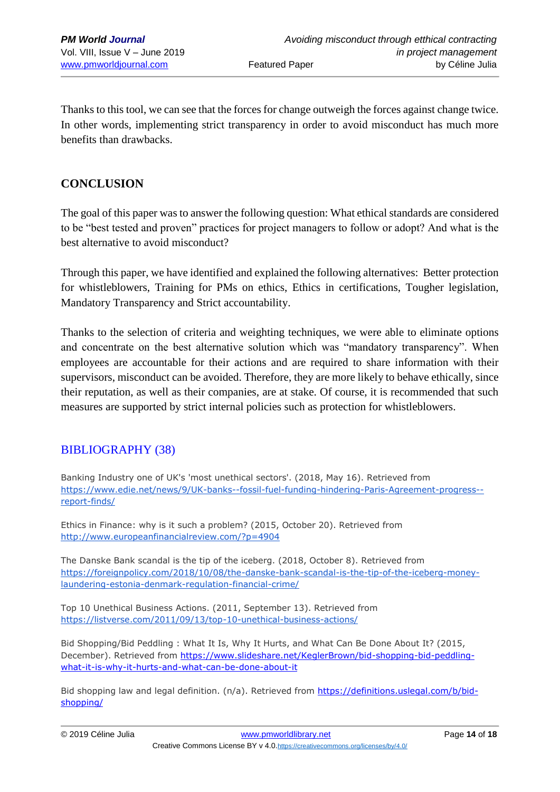Thanks to this tool, we can see that the forces for change outweigh the forces against change twice. In other words, implementing strict transparency in order to avoid misconduct has much more benefits than drawbacks.

## **CONCLUSION**

The goal of this paper was to answer the following question: What ethical standards are considered to be "best tested and proven" practices for project managers to follow or adopt? And what is the best alternative to avoid misconduct?

Through this paper, we have identified and explained the following alternatives: Better protection for whistleblowers, Training for PMs on ethics, Ethics in certifications, Tougher legislation, Mandatory Transparency and Strict accountability.

Thanks to the selection of criteria and weighting techniques, we were able to eliminate options and concentrate on the best alternative solution which was "mandatory transparency". When employees are accountable for their actions and are required to share information with their supervisors, misconduct can be avoided. Therefore, they are more likely to behave ethically, since their reputation, as well as their companies, are at stake. Of course, it is recommended that such measures are supported by strict internal policies such as protection for whistleblowers.

## BIBLIOGRAPHY (38)

Banking Industry one of UK's 'most unethical sectors'. (2018, May 16). Retrieved from [https://www.edie.net/news/9/UK-banks--fossil-fuel-funding-hindering-Paris-Agreement-progress-](https://www.edie.net/news/9/UK-banks--fossil-fuel-funding-hindering-Paris-Agreement-progress--report-finds/) [report-finds/](https://www.edie.net/news/9/UK-banks--fossil-fuel-funding-hindering-Paris-Agreement-progress--report-finds/)

Ethics in Finance: why is it such a problem? (2015, October 20). Retrieved from <http://www.europeanfinancialreview.com/?p=4904>

The Danske Bank scandal is the tip of the iceberg. (2018, October 8). Retrieved from [https://foreignpolicy.com/2018/10/08/the-danske-bank-scandal-is-the-tip-of-the-iceberg-money](https://foreignpolicy.com/2018/10/08/the-danske-bank-scandal-is-the-tip-of-the-iceberg-money-laundering-estonia-denmark-regulation-financial-crime/)[laundering-estonia-denmark-regulation-financial-crime/](https://foreignpolicy.com/2018/10/08/the-danske-bank-scandal-is-the-tip-of-the-iceberg-money-laundering-estonia-denmark-regulation-financial-crime/)

Top 10 Unethical Business Actions. (2011, September 13). Retrieved from <https://listverse.com/2011/09/13/top-10-unethical-business-actions/>

Bid Shopping/Bid Peddling : What It Is, Why It Hurts, and What Can Be Done About It? (2015, December). Retrieved from [https://www.slideshare.net/KeglerBrown/bid-shopping-bid-peddling](https://www.slideshare.net/KeglerBrown/bid-shopping-bid-peddling-what-it-is-why-it-hurts-and-what-can-be-done-about-it)[what-it-is-why-it-hurts-and-what-can-be-done-about-it](https://www.slideshare.net/KeglerBrown/bid-shopping-bid-peddling-what-it-is-why-it-hurts-and-what-can-be-done-about-it)

Bid shopping law and legal definition. (n/a). Retrieved from [https://definitions.uslegal.com/b/bid](https://definitions.uslegal.com/b/bid-shopping/)[shopping/](https://definitions.uslegal.com/b/bid-shopping/)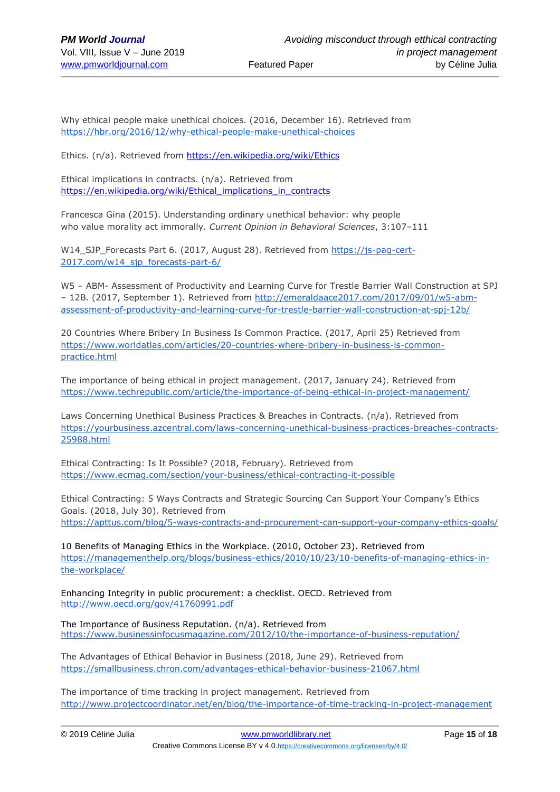Why ethical people make unethical choices. (2016, December 16). Retrieved from <https://hbr.org/2016/12/why-ethical-people-make-unethical-choices>

Ethics. (n/a). Retrieved from <https://en.wikipedia.org/wiki/Ethics>

Ethical implications in contracts. (n/a). Retrieved from [https://en.wikipedia.org/wiki/Ethical\\_implications\\_in\\_contracts](https://en.wikipedia.org/wiki/Ethical_implications_in_contracts)

Francesca Gina (2015). Understanding ordinary unethical behavior: why people who value morality act immorally. *Current Opinion in Behavioral Sciences*, 3:107–111

W14\_SJP\_Forecasts Part 6. (2017, August 28). Retrieved from [https://js-pag-cert-](https://js-pag-cert-2017.com/w14_sjp_forecasts-part-6/)[2017.com/w14\\_sjp\\_forecasts-part-6/](https://js-pag-cert-2017.com/w14_sjp_forecasts-part-6/)

W5 – ABM- Assessment of Productivity and Learning Curve for Trestle Barrier Wall Construction at SPJ – 12B. (2017, September 1). Retrieved from [http://emeraldaace2017.com/2017/09/01/w5-abm](http://emeraldaace2017.com/2017/09/01/w5-abm-assessment-of-productivity-and-learning-curve-for-trestle-barrier-wall-construction-at-spj-12b/)[assessment-of-productivity-and-learning-curve-for-trestle-barrier-wall-construction-at-spj-12b/](http://emeraldaace2017.com/2017/09/01/w5-abm-assessment-of-productivity-and-learning-curve-for-trestle-barrier-wall-construction-at-spj-12b/)

20 Countries Where Bribery In Business Is Common Practice. (2017, April 25) Retrieved from [https://www.worldatlas.com/articles/20-countries-where-bribery-in-business-is-common](https://www.worldatlas.com/articles/20-countries-where-bribery-in-business-is-common-practice.html)[practice.html](https://www.worldatlas.com/articles/20-countries-where-bribery-in-business-is-common-practice.html)

The importance of being ethical in project management. (2017, January 24). Retrieved from <https://www.techrepublic.com/article/the-importance-of-being-ethical-in-project-management/>

Laws Concerning Unethical Business Practices & Breaches in Contracts. (n/a). Retrieved from [https://yourbusiness.azcentral.com/laws-concerning-unethical-business-practices-breaches-contracts-](https://yourbusiness.azcentral.com/laws-concerning-unethical-business-practices-breaches-contracts-25988.html)[25988.html](https://yourbusiness.azcentral.com/laws-concerning-unethical-business-practices-breaches-contracts-25988.html)

Ethical Contracting: Is It Possible? (2018, February). Retrieved from <https://www.ecmag.com/section/your-business/ethical-contracting-it-possible>

Ethical Contracting: 5 Ways Contracts and Strategic Sourcing Can Support Your Company's Ethics Goals. (2018, July 30). Retrieved from <https://apttus.com/blog/5-ways-contracts-and-procurement-can-support-your-company-ethics-goals/>

10 Benefits of Managing Ethics in the Workplace. (2010, October 23). Retrieved from [https://managementhelp.org/blogs/business-ethics/2010/10/23/10-benefits-of-managing-ethics-in](https://managementhelp.org/blogs/business-ethics/2010/10/23/10-benefits-of-managing-ethics-in-the-workplace/)[the-workplace/](https://managementhelp.org/blogs/business-ethics/2010/10/23/10-benefits-of-managing-ethics-in-the-workplace/)

Enhancing Integrity in public procurement: a checklist. OECD. Retrieved from <http://www.oecd.org/gov/41760991.pdf>

The Importance of Business Reputation. (n/a). Retrieved from <https://www.businessinfocusmagazine.com/2012/10/the-importance-of-business-reputation/>

The Advantages of Ethical Behavior in Business (2018, June 29). Retrieved from <https://smallbusiness.chron.com/advantages-ethical-behavior-business-21067.html>

The importance of time tracking in project management. Retrieved from <http://www.projectcoordinator.net/en/blog/the-importance-of-time-tracking-in-project-management>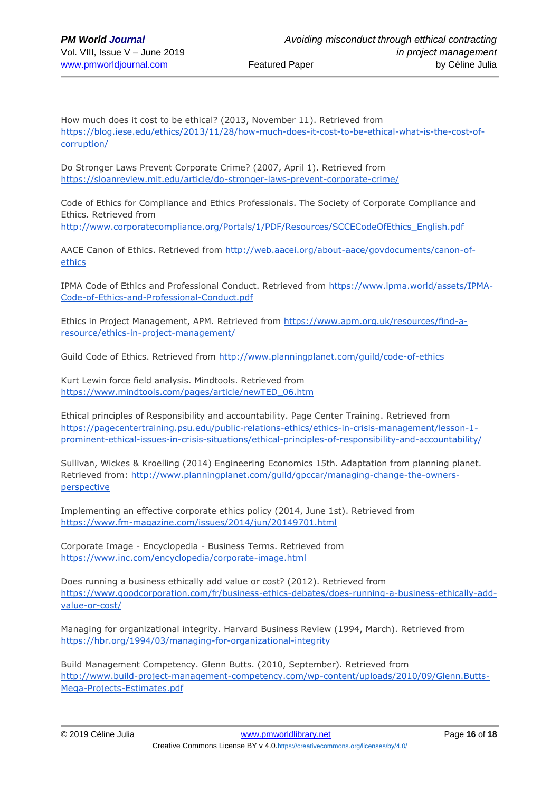How much does it cost to be ethical? (2013, November 11). Retrieved from [https://blog.iese.edu/ethics/2013/11/28/how-much-does-it-cost-to-be-ethical-what-is-the-cost-of](https://blog.iese.edu/ethics/2013/11/28/how-much-does-it-cost-to-be-ethical-what-is-the-cost-of-corruption/)[corruption/](https://blog.iese.edu/ethics/2013/11/28/how-much-does-it-cost-to-be-ethical-what-is-the-cost-of-corruption/)

Do Stronger Laws Prevent Corporate Crime? (2007, April 1). Retrieved from <https://sloanreview.mit.edu/article/do-stronger-laws-prevent-corporate-crime/>

Code of Ethics for Compliance and Ethics Professionals. The Society of Corporate Compliance and Ethics. Retrieved from

[http://www.corporatecompliance.org/Portals/1/PDF/Resources/SCCECodeOfEthics\\_English.pdf](http://www.corporatecompliance.org/Portals/1/PDF/Resources/SCCECodeOfEthics_English.pdf)

AACE Canon of Ethics. Retrieved from [http://web.aacei.org/about-aace/govdocuments/canon-of](http://web.aacei.org/about-aace/govdocuments/canon-of-ethics)[ethics](http://web.aacei.org/about-aace/govdocuments/canon-of-ethics)

IPMA Code of Ethics and Professional Conduct. Retrieved from [https://www.ipma.world/assets/IPMA-](https://www.ipma.world/assets/IPMA-Code-of-Ethics-and-Professional-Conduct.pdf)[Code-of-Ethics-and-Professional-Conduct.pdf](https://www.ipma.world/assets/IPMA-Code-of-Ethics-and-Professional-Conduct.pdf)

Ethics in Project Management, APM. Retrieved from [https://www.apm.org.uk/resources/find-a](https://www.apm.org.uk/resources/find-a-resource/ethics-in-project-management/)[resource/ethics-in-project-management/](https://www.apm.org.uk/resources/find-a-resource/ethics-in-project-management/)

Guild Code of Ethics. Retrieved from<http://www.planningplanet.com/guild/code-of-ethics>

Kurt Lewin force field analysis. Mindtools. Retrieved from [https://www.mindtools.com/pages/article/newTED\\_06.htm](https://www.mindtools.com/pages/article/newTED_06.htm)

Ethical principles of Responsibility and accountability. Page Center Training. Retrieved from [https://pagecentertraining.psu.edu/public-relations-ethics/ethics-in-crisis-management/lesson-1](https://pagecentertraining.psu.edu/public-relations-ethics/ethics-in-crisis-management/lesson-1-prominent-ethical-issues-in-crisis-situations/ethical-principles-of-responsibility-and-accountability/) [prominent-ethical-issues-in-crisis-situations/ethical-principles-of-responsibility-and-accountability/](https://pagecentertraining.psu.edu/public-relations-ethics/ethics-in-crisis-management/lesson-1-prominent-ethical-issues-in-crisis-situations/ethical-principles-of-responsibility-and-accountability/)

Sullivan, Wickes & Kroelling (2014) Engineering Economics 15th. Adaptation from planning planet. Retrieved from: [http://www.planningplanet.com/guild/gpccar/managing-change-the-owners](http://www.planningplanet.com/guild/gpccar/managing-change-the-owners-perspective)[perspective](http://www.planningplanet.com/guild/gpccar/managing-change-the-owners-perspective)

Implementing an effective corporate ethics policy (2014, June 1st). Retrieved from <https://www.fm-magazine.com/issues/2014/jun/20149701.html>

Corporate Image - Encyclopedia - Business Terms. Retrieved from <https://www.inc.com/encyclopedia/corporate-image.html>

Does running a business ethically add value or cost? (2012). Retrieved from [https://www.goodcorporation.com/fr/business-ethics-debates/does-running-a-business-ethically-add](https://www.goodcorporation.com/fr/business-ethics-debates/does-running-a-business-ethically-add-value-or-cost/)[value-or-cost/](https://www.goodcorporation.com/fr/business-ethics-debates/does-running-a-business-ethically-add-value-or-cost/)

Managing for organizational integrity. Harvard Business Review (1994, March). Retrieved from <https://hbr.org/1994/03/managing-for-organizational-integrity>

Build Management Competency. Glenn Butts. (2010, September). Retrieved from [http://www.build-project-management-competency.com/wp-content/uploads/2010/09/Glenn.Butts-](http://www.build-project-management-competency.com/wp-content/uploads/2010/09/Glenn.Butts-Mega-Projects-Estimates.pdf)[Mega-Projects-Estimates.pdf](http://www.build-project-management-competency.com/wp-content/uploads/2010/09/Glenn.Butts-Mega-Projects-Estimates.pdf)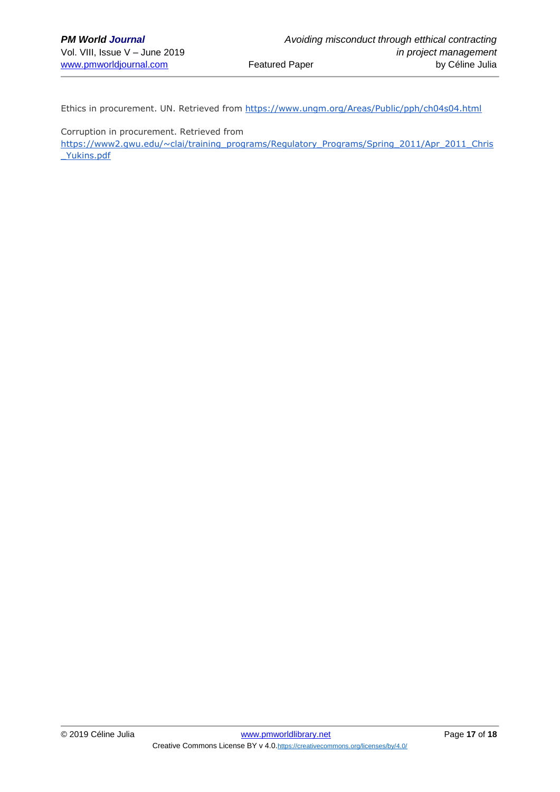Ethics in procurement. UN. Retrieved from<https://www.ungm.org/Areas/Public/pph/ch04s04.html>

Corruption in procurement. Retrieved from

[https://www2.gwu.edu/~clai/training\\_programs/Regulatory\\_Programs/Spring\\_2011/Apr\\_2011\\_Chris](https://www2.gwu.edu/~clai/training_programs/Regulatory_Programs/Spring_2011/Apr_2011_Chris_Yukins.pdf) [\\_Yukins.pdf](https://www2.gwu.edu/~clai/training_programs/Regulatory_Programs/Spring_2011/Apr_2011_Chris_Yukins.pdf)